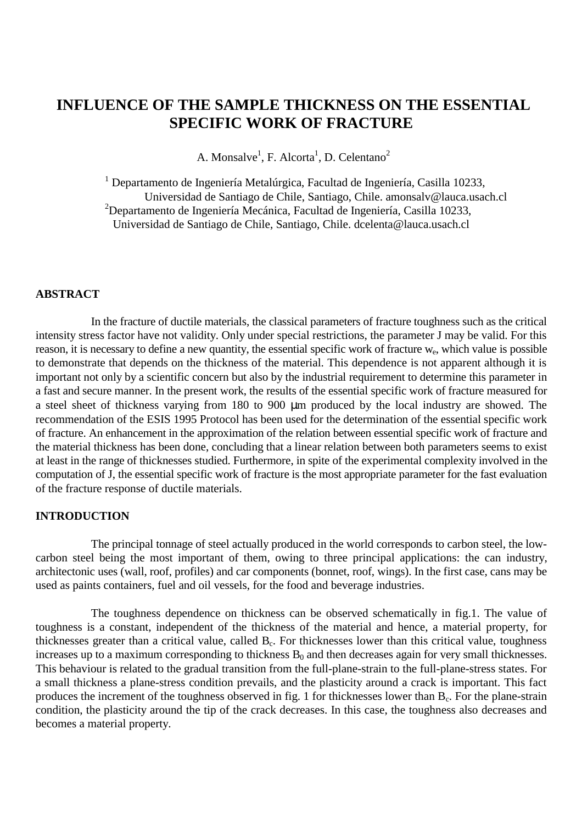# **INFLUENCE OF THE SAMPLE THICKNESS ON THE ESSENTIAL SPECIFIC WORK OF FRACTURE**

A. Monsalve<sup>1</sup>, F. Alcorta<sup>1</sup>, D. Celentano<sup>2</sup>

<sup>1</sup> Departamento de Ingeniería Metalúrgica, Facultad de Ingeniería, Casilla 10233, Universidad de Santiago de Chile, Santiago, Chile. amonsalv@lauca.usach.cl <sup>2</sup>Departamento de Ingeniería Mecánica, Facultad de Ingeniería, Casilla 10233, Universidad de Santiago de Chile, Santiago, Chile. dcelenta@lauca.usach.cl

## **ABSTRACT**

In the fracture of ductile materials, the classical parameters of fracture toughness such as the critical intensity stress factor have not validity. Only under special restrictions, the parameter J may be valid. For this reason, it is necessary to define a new quantity, the essential specific work of fracture we, which value is possible to demonstrate that depends on the thickness of the material. This dependence is not apparent although it is important not only by a scientific concern but also by the industrial requirement to determine this parameter in a fast and secure manner. In the present work, the results of the essential specific work of fracture measured for a steel sheet of thickness varying from 180 to 900 µm produced by the local industry are showed. The recommendation of the ESIS 1995 Protocol has been used for the determination of the essential specific work of fracture. An enhancement in the approximation of the relation between essential specific work of fracture and the material thickness has been done, concluding that a linear relation between both parameters seems to exist at least in the range of thicknesses studied. Furthermore, in spite of the experimental complexity involved in the computation of J, the essential specific work of fracture is the most appropriate parameter for the fast evaluation of the fracture response of ductile materials.

#### **INTRODUCTION**

The principal tonnage of steel actually produced in the world corresponds to carbon steel, the lowcarbon steel being the most important of them, owing to three principal applications: the can industry, architectonic uses (wall, roof, profiles) and car components (bonnet, roof, wings). In the first case, cans may be used as paints containers, fuel and oil vessels, for the food and beverage industries.

The toughness dependence on thickness can be observed schematically in fig.1. The value of toughness is a constant, independent of the thickness of the material and hence, a material property, for thicknesses greater than a critical value, called  $B<sub>c</sub>$ . For thicknesses lower than this critical value, toughness increases up to a maximum corresponding to thickness  $B_0$  and then decreases again for very small thicknesses. This behaviour is related to the gradual transition from the full-plane-strain to the full-plane-stress states. For a small thickness a plane-stress condition prevails, and the plasticity around a crack is important. This fact produces the increment of the toughness observed in fig. 1 for thicknesses lower than  $B_c$ . For the plane-strain condition, the plasticity around the tip of the crack decreases. In this case, the toughness also decreases and becomes a material property.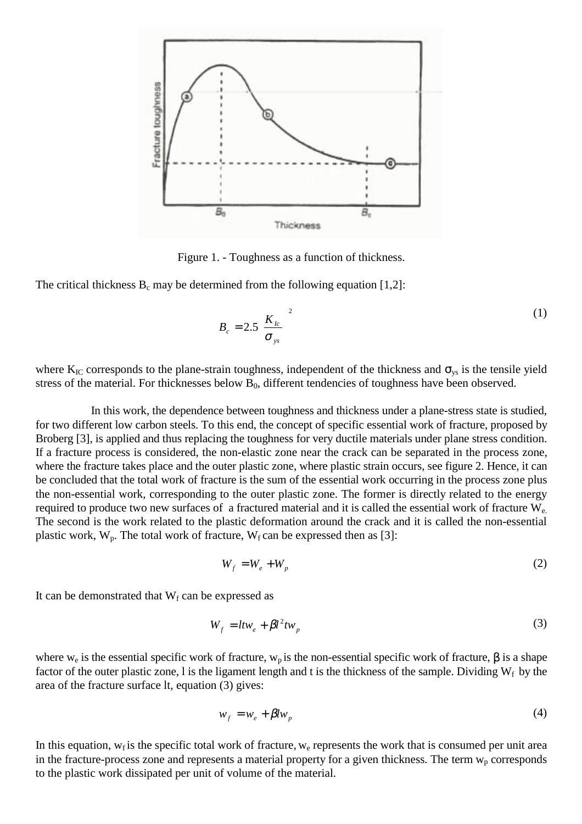

Figure 1. - Toughness as a function of thickness.

The critical thickness  $B_c$  may be determined from the following equation [1,2]:

$$
B_c = 2.5 \left( \frac{K_{lc}}{\sigma_{ys}} \right)^2 \tag{1}
$$

where  $K_{IC}$  corresponds to the plane-strain toughness, independent of the thickness and  $\sigma_{vs}$  is the tensile yield stress of the material. For thicknesses below  $B_0$ , different tendencies of toughness have been observed.

In this work, the dependence between toughness and thickness under a plane-stress state is studied, for two different low carbon steels. To this end, the concept of specific essential work of fracture, proposed by Broberg [3], is applied and thus replacing the toughness for very ductile materials under plane stress condition. If a fracture process is considered, the non-elastic zone near the crack can be separated in the process zone, where the fracture takes place and the outer plastic zone, where plastic strain occurs, see figure 2. Hence, it can be concluded that the total work of fracture is the sum of the essential work occurring in the process zone plus the non-essential work, corresponding to the outer plastic zone. The former is directly related to the energy required to produce two new surfaces of a fractured material and it is called the essential work of fracture  $W_{e}$ . The second is the work related to the plastic deformation around the crack and it is called the non-essential plastic work,  $W_p$ . The total work of fracture,  $W_f$  can be expressed then as [3]:

$$
W_f = W_e + W_p \tag{2}
$$

It can be demonstrated that  $W_f$  can be expressed as

$$
W_f = l t w_e + \beta l^2 t w_p \tag{3}
$$

where w<sub>e</sub> is the essential specific work of fracture, w<sub>p</sub> is the non-essential specific work of fracture,  $\beta$  is a shape factor of the outer plastic zone, l is the ligament length and t is the thickness of the sample. Dividing  $W_f$  by the area of the fracture surface lt, equation (3) gives:

$$
w_f = w_e + \beta l w_p \tag{4}
$$

In this equation,  $w_f$  is the specific total work of fracture,  $w_e$  represents the work that is consumed per unit area in the fracture-process zone and represents a material property for a given thickness. The term  $w_p$  corresponds to the plastic work dissipated per unit of volume of the material.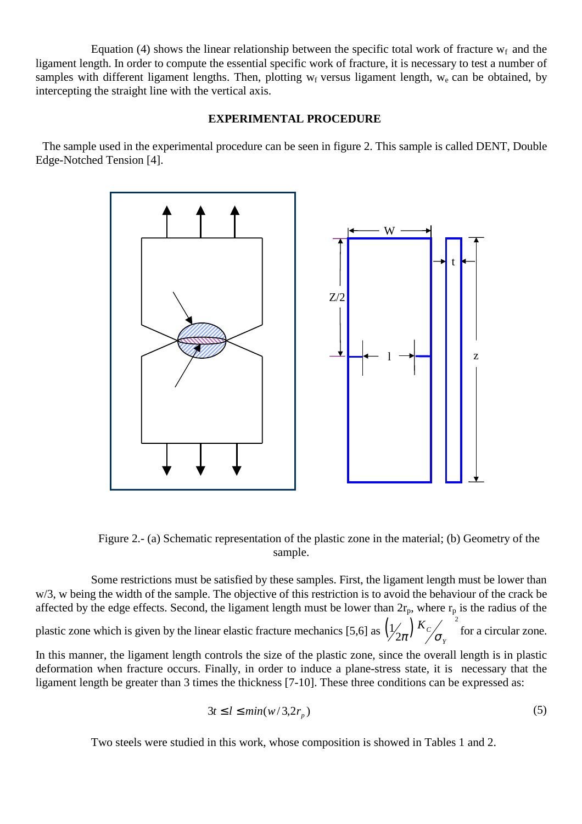Equation (4) shows the linear relationship between the specific total work of fracture  $w_f$  and the ligament length. In order to compute the essential specific work of fracture, it is necessary to test a number of samples with different ligament lengths. Then, plotting  $w_f$  versus ligament length,  $w_e$  can be obtained, by intercepting the straight line with the vertical axis.

#### **EXPERIMENTAL PROCEDURE**

The sample used in the experimental procedure can be seen in figure 2. This sample is called DENT, Double Edge-Notched Tension [4].



Figure 2.- (a) Schematic representation of the plastic zone in the material; (b) Geometry of the sample.

Some restrictions must be satisfied by these samples. First, the ligament length must be lower than w/3, w being the width of the sample. The objective of this restriction is to avoid the behaviour of the crack be affected by the edge effects. Second, the ligament length must be lower than  $2r_p$ , where  $r_p$  is the radius of the

plastic zone which is given by the linear elastic fracture mechanics [5,6] as  $\left(\frac{1}{2\pi}\right)^K c$   $\left(\frac{1}{2\pi}\right)^2$ ľ *Y*  $\int_{\pi}^{\pi} \left| \int_{\sigma}^{K_c} \right|^2$  for a circular zone.

In this manner, the ligament length controls the size of the plastic zone, since the overall length is in plastic deformation when fracture occurs. Finally, in order to induce a plane-stress state, it is necessary that the ligament length be greater than 3 times the thickness [7-10]. These three conditions can be expressed as:

$$
3t \le l \le min(w/3, 2r_p) \tag{5}
$$

Two steels were studied in this work, whose composition is showed in Tables 1 and 2.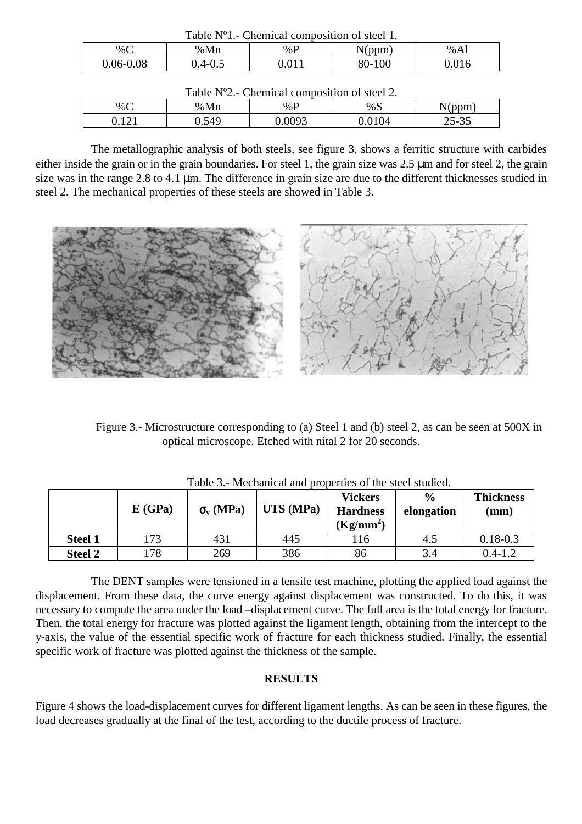| Table N <sup>o</sup> 1. Chemical composition of steel 1. |             |       |        |       |  |  |  |  |
|----------------------------------------------------------|-------------|-------|--------|-------|--|--|--|--|
| % $C$                                                    | %Mn         | % $P$ | N(ppm) | % A1  |  |  |  |  |
| 0.06-0.08                                                | $0.4 - 0.5$ | ).011 | 80-100 | 0.016 |  |  |  |  |

| Table N°2.- Chemical composition of steel 2. |       |        |        |           |  |  |  |  |
|----------------------------------------------|-------|--------|--------|-----------|--|--|--|--|
| $\%C$                                        | %Mn   | % $P$  | %S     | N(ppm)    |  |  |  |  |
| 9.121                                        | 0.549 | 0.0093 | 0.0104 | $25 - 35$ |  |  |  |  |

The metallographic analysis of both steels, see figure 3, shows a ferritic structure with carbides either inside the grain or in the grain boundaries. For steel 1, the grain size was 2.5 µm and for steel 2, the grain size was in the range 2.8 to 4.1 µm. The difference in grain size are due to the different thicknesses studied in steel 2. The mechanical properties of these steels are showed in Table 3.



Figure 3.- Microstructure corresponding to (a) Steel 1 and (b) steel 2, as can be seen at 500X in optical microscope. Etched with nital 2 for 20 seconds.

|                | E(GPa) | $\sigma_{v}$ (MPa) | UTS (MPa) | <b>Vickers</b><br><b>Hardness</b><br>$(Kg/mm^2)$ | $\frac{0}{0}$<br>elongation | <b>Thickness</b><br>(mm) |
|----------------|--------|--------------------|-----------|--------------------------------------------------|-----------------------------|--------------------------|
| <b>Steel 1</b> | 173    | 431                | 445       | 116                                              | 4.5                         | $0.18 - 0.3$             |
| <b>Steel 2</b> | 178    | 269                | 386       | 86                                               | 3.4                         | $0.4 - 1.2$              |

Table 3.- Mechanical and properties of the steel studied.

The DENT samples were tensioned in a tensile test machine, plotting the applied load against the displacement. From these data, the curve energy against displacement was constructed. To do this, it was necessary to compute the area under the load –displacement curve. The full area is the total energy for fracture. Then, the total energy for fracture was plotted against the ligament length, obtaining from the intercept to the y-axis, the value of the essential specific work of fracture for each thickness studied. Finally, the essential specific work of fracture was plotted against the thickness of the sample.

## **RESULTS**

Figure 4 shows the load-displacement curves for different ligament lengths. As can be seen in these figures, the load decreases gradually at the final of the test, according to the ductile process of fracture.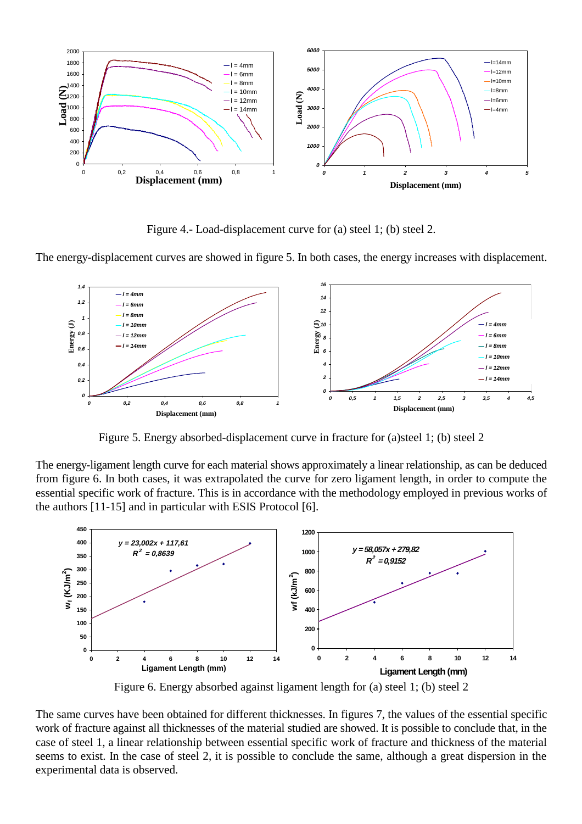

Figure 4.- Load-displacement curve for (a) steel 1; (b) steel 2.

The energy-displacement curves are showed in figure 5. In both cases, the energy increases with displacement.



Figure 5. Energy absorbed-displacement curve in fracture for (a)steel 1; (b) steel 2

The energy-ligament length curve for each material shows approximately a linear relationship, as can be deduced from figure 6. In both cases, it was extrapolated the curve for zero ligament length, in order to compute the essential specific work of fracture. This is in accordance with the methodology employed in previous works of the authors [11-15] and in particular with ESIS Protocol [6].



Figure 6. Energy absorbed against ligament length for (a) steel 1; (b) steel 2

The same curves have been obtained for different thicknesses. In figures 7, the values of the essential specific work of fracture against all thicknesses of the material studied are showed. It is possible to conclude that, in the case of steel 1, a linear relationship between essential specific work of fracture and thickness of the material seems to exist. In the case of steel 2, it is possible to conclude the same, although a great dispersion in the experimental data is observed.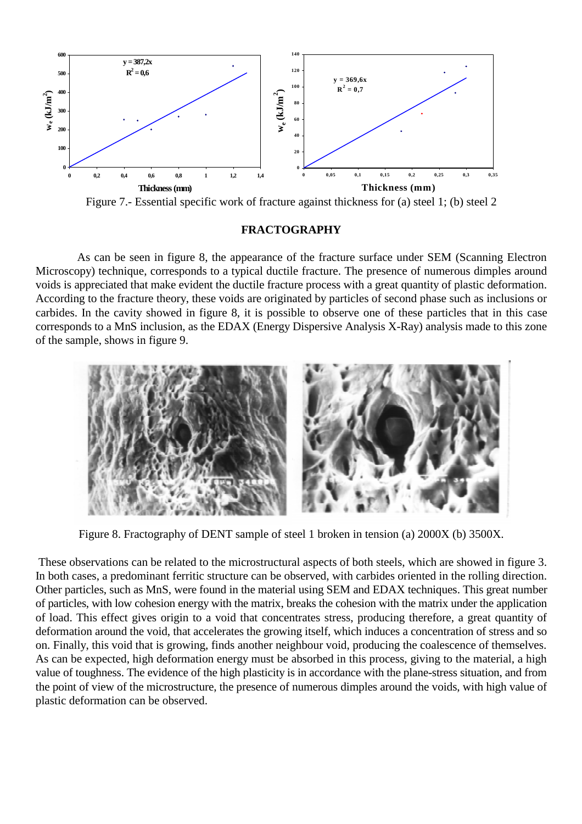

Figure 7.- Essential specific work of fracture against thickness for (a) steel 1; (b) steel 2

#### **FRACTOGRAPHY**

As can be seen in figure 8, the appearance of the fracture surface under SEM (Scanning Electron Microscopy) technique, corresponds to a typical ductile fracture. The presence of numerous dimples around voids is appreciated that make evident the ductile fracture process with a great quantity of plastic deformation. According to the fracture theory, these voids are originated by particles of second phase such as inclusions or carbides. In the cavity showed in figure 8, it is possible to observe one of these particles that in this case corresponds to a MnS inclusion, as the EDAX (Energy Dispersive Analysis X-Ray) analysis made to this zone of the sample, shows in figure 9.



Figure 8. Fractography of DENT sample of steel 1 broken in tension (a) 2000X (b) 3500X.

 These observations can be related to the microstructural aspects of both steels, which are showed in figure 3. In both cases, a predominant ferritic structure can be observed, with carbides oriented in the rolling direction. Other particles, such as MnS, were found in the material using SEM and EDAX techniques. This great number of particles, with low cohesion energy with the matrix, breaks the cohesion with the matrix under the application of load. This effect gives origin to a void that concentrates stress, producing therefore, a great quantity of deformation around the void, that accelerates the growing itself, which induces a concentration of stress and so on. Finally, this void that is growing, finds another neighbour void, producing the coalescence of themselves. As can be expected, high deformation energy must be absorbed in this process, giving to the material, a high value of toughness. The evidence of the high plasticity is in accordance with the plane-stress situation, and from the point of view of the microstructure, the presence of numerous dimples around the voids, with high value of plastic deformation can be observed.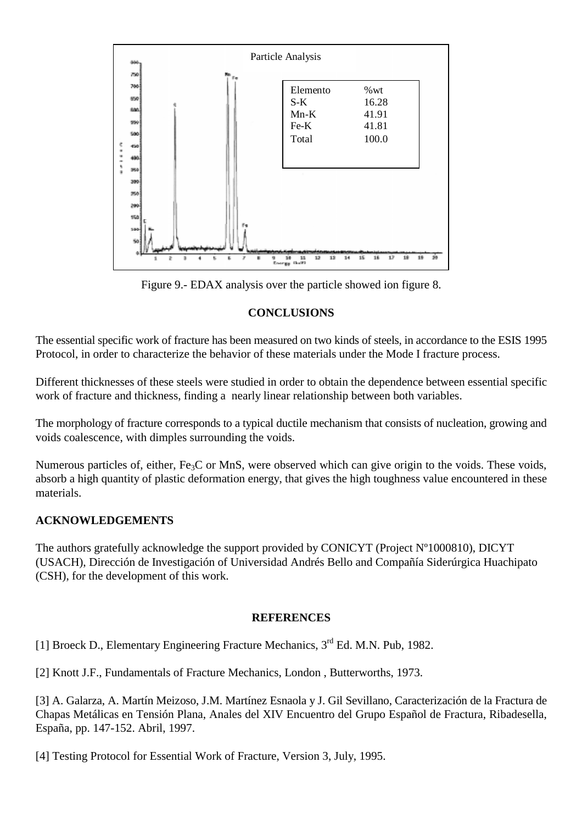

Figure 9.- EDAX analysis over the particle showed ion figure 8.

# **CONCLUSIONS**

The essential specific work of fracture has been measured on two kinds of steels, in accordance to the ESIS 1995 Protocol, in order to characterize the behavior of these materials under the Mode I fracture process.

Different thicknesses of these steels were studied in order to obtain the dependence between essential specific work of fracture and thickness, finding a nearly linear relationship between both variables.

The morphology of fracture corresponds to a typical ductile mechanism that consists of nucleation, growing and voids coalescence, with dimples surrounding the voids.

Numerous particles of, either, Fe<sub>3</sub>C or MnS, were observed which can give origin to the voids. These voids, absorb a high quantity of plastic deformation energy, that gives the high toughness value encountered in these materials.

# **ACKNOWLEDGEMENTS**

The authors gratefully acknowledge the support provided by CONICYT (Project Nº1000810), DICYT (USACH), Dirección de Investigación of Universidad Andrés Bello and Compañía Siderúrgica Huachipato (CSH), for the development of this work.

## **REFERENCES**

[1] Broeck D., Elementary Engineering Fracture Mechanics, 3<sup>rd</sup> Ed. M.N. Pub, 1982.

[2] Knott J.F., Fundamentals of Fracture Mechanics, London , Butterworths, 1973.

[3] A. Galarza, A. Martín Meizoso, J.M. Martínez Esnaola y J. Gil Sevillano, Caracterización de la Fractura de Chapas Metálicas en Tensión Plana, Anales del XIV Encuentro del Grupo Español de Fractura, Ribadesella, España, pp. 147-152. Abril, 1997.

[4] Testing Protocol for Essential Work of Fracture, Version 3, July, 1995.